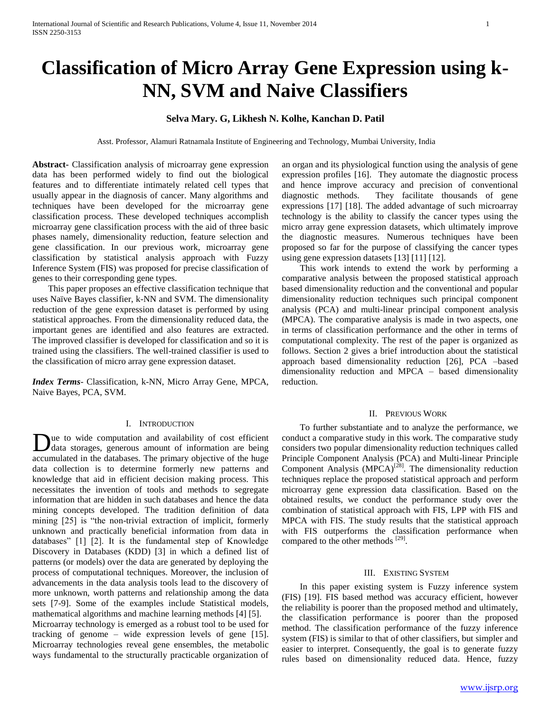# **Classification of Micro Array Gene Expression using k-NN, SVM and Naive Classifiers**

## **Selva Mary. G, Likhesh N. Kolhe, Kanchan D. Patil**

Asst. Professor, Alamuri Ratnamala Institute of Engineering and Technology, Mumbai University, India

**Abstract-** Classification analysis of microarray gene expression data has been performed widely to find out the biological features and to differentiate intimately related cell types that usually appear in the diagnosis of cancer. Many algorithms and techniques have been developed for the microarray gene classification process. These developed techniques accomplish microarray gene classification process with the aid of three basic phases namely, dimensionality reduction, feature selection and gene classification. In our previous work, microarray gene classification by statistical analysis approach with Fuzzy Inference System (FIS) was proposed for precise classification of genes to their corresponding gene types.

 This paper proposes an effective classification technique that uses Naïve Bayes classifier, k-NN and SVM. The dimensionality reduction of the gene expression dataset is performed by using statistical approaches. From the dimensionality reduced data, the important genes are identified and also features are extracted. The improved classifier is developed for classification and so it is trained using the classifiers. The well-trained classifier is used to the classification of micro array gene expression dataset.

*Index Terms*- Classification, k-NN, Micro Array Gene, MPCA, Naive Bayes, PCA, SVM.

## I. INTRODUCTION

ue to wide computation and availability of cost efficient data storages, generous amount of information are being Due to wide computation and availability of cost efficient data storages, generous amount of information are being accumulated in the databases. The primary objective of the huge data collection is to determine formerly new patterns and knowledge that aid in efficient decision making process. This necessitates the invention of tools and methods to segregate information that are hidden in such databases and hence the data mining concepts developed. The tradition definition of data mining [25] is "the non-trivial extraction of implicit, formerly unknown and practically beneficial information from data in databases" [1] [2]. It is the fundamental step of Knowledge Discovery in Databases (KDD) [3] in which a defined list of patterns (or models) over the data are generated by deploying the process of computational techniques. Moreover, the inclusion of advancements in the data analysis tools lead to the discovery of more unknown, worth patterns and relationship among the data sets [7-9]. Some of the examples include Statistical models, mathematical algorithms and machine learning methods [4] [5]. Microarray technology is emerged as a robust tool to be used for tracking of genome – wide expression levels of gene [15]. Microarray technologies reveal gene ensembles, the metabolic ways fundamental to the structurally practicable organization of

an organ and its physiological function using the analysis of gene expression profiles [16]. They automate the diagnostic process and hence improve accuracy and precision of conventional diagnostic methods. They facilitate thousands of gene expressions [17] [18]. The added advantage of such microarray technology is the ability to classify the cancer types using the micro array gene expression datasets, which ultimately improve the diagnostic measures. Numerous techniques have been proposed so far for the purpose of classifying the cancer types using gene expression datasets [13] [11] [12].

 This work intends to extend the work by performing a comparative analysis between the proposed statistical approach based dimensionality reduction and the conventional and popular dimensionality reduction techniques such principal component analysis (PCA) and multi-linear principal component analysis (MPCA). The comparative analysis is made in two aspects, one in terms of classification performance and the other in terms of computational complexity. The rest of the paper is organized as follows. Section 2 gives a brief introduction about the statistical approach based dimensionality reduction [26], PCA –based dimensionality reduction and MPCA – based dimensionality reduction.

#### II. PREVIOUS WORK

 To further substantiate and to analyze the performance, we conduct a comparative study in this work. The comparative study considers two popular dimensionality reduction techniques called Principle Component Analysis (PCA) and Multi-linear Principle Component Analysis  $(MPCA)^{[28]}$ . The dimensionality reduction techniques replace the proposed statistical approach and perform microarray gene expression data classification. Based on the obtained results, we conduct the performance study over the combination of statistical approach with FIS, LPP with FIS and MPCA with FIS. The study results that the statistical approach with FIS outperforms the classification performance when compared to the other methods [29].

## III. EXISTING SYSTEM

 In this paper existing system is Fuzzy inference system (FIS) [19]. FIS based method was accuracy efficient, however the reliability is poorer than the proposed method and ultimately, the classification performance is poorer than the proposed method. The classification performance of the fuzzy inference system (FIS) is similar to that of other classifiers, but simpler and easier to interpret. Consequently, the goal is to generate fuzzy rules based on dimensionality reduced data. Hence, fuzzy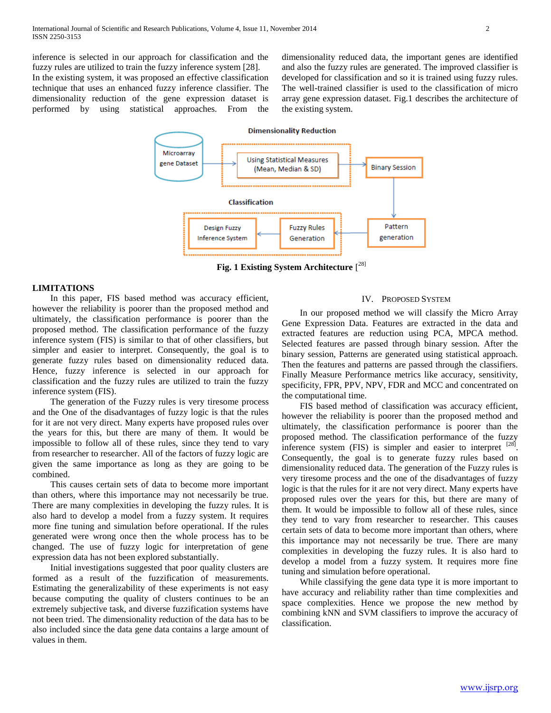inference is selected in our approach for classification and the fuzzy rules are utilized to train the fuzzy inference system [28]. In the existing system, it was proposed an effective classification technique that uses an enhanced fuzzy inference classifier. The dimensionality reduction of the gene expression dataset is performed by using statistical approaches. From the

dimensionality reduced data, the important genes are identified and also the fuzzy rules are generated. The improved classifier is developed for classification and so it is trained using fuzzy rules. The well-trained classifier is used to the classification of micro array gene expression dataset. Fig.1 describes the architecture of the existing system.



**Fig. 1 Existing System Architecture** [ 28]

## **LIMITATIONS**

 In this paper, FIS based method was accuracy efficient, however the reliability is poorer than the proposed method and ultimately, the classification performance is poorer than the proposed method. The classification performance of the fuzzy inference system (FIS) is similar to that of other classifiers, but simpler and easier to interpret. Consequently, the goal is to generate fuzzy rules based on dimensionality reduced data. Hence, fuzzy inference is selected in our approach for classification and the fuzzy rules are utilized to train the fuzzy inference system (FIS).

 The generation of the Fuzzy rules is very tiresome process and the One of the disadvantages of fuzzy logic is that the rules for it are not very direct. Many experts have proposed rules over the years for this, but there are many of them. It would be impossible to follow all of these rules, since they tend to vary from researcher to researcher. All of the factors of fuzzy logic are given the same importance as long as they are going to be combined.

 This causes certain sets of data to become more important than others, where this importance may not necessarily be true. There are many complexities in developing the fuzzy rules. It is also hard to develop a model from a fuzzy system. It requires more fine tuning and simulation before operational. If the rules generated were wrong once then the whole process has to be changed. The use of fuzzy logic for interpretation of gene expression data has not been explored substantially.

 Initial investigations suggested that poor quality clusters are formed as a result of the fuzzification of measurements. Estimating the generalizability of these experiments is not easy because computing the quality of clusters continues to be an extremely subjective task, and diverse fuzzification systems have not been tried. The dimensionality reduction of the data has to be also included since the data gene data contains a large amount of values in them.

## IV. PROPOSED SYSTEM

 In our proposed method we will classify the Micro Array Gene Expression Data. Features are extracted in the data and extracted features are reduction using PCA, MPCA method. Selected features are passed through binary session. After the binary session, Patterns are generated using statistical approach. Then the features and patterns are passed through the classifiers. Finally Measure Performance metrics like accuracy, sensitivity, specificity, FPR, PPV, NPV, FDR and MCC and concentrated on the computational time.

 FIS based method of classification was accuracy efficient, however the reliability is poorer than the proposed method and ultimately, the classification performance is poorer than the proposed method. The classification performance of the fuzzy inference system (FIS) is simpler and easier to interpret  $^{[28]}$ . Consequently, the goal is to generate fuzzy rules based on dimensionality reduced data. The generation of the Fuzzy rules is very tiresome process and the one of the disadvantages of fuzzy logic is that the rules for it are not very direct. Many experts have proposed rules over the years for this, but there are many of them. It would be impossible to follow all of these rules, since they tend to vary from researcher to researcher. This causes certain sets of data to become more important than others, where this importance may not necessarily be true. There are many complexities in developing the fuzzy rules. It is also hard to develop a model from a fuzzy system. It requires more fine tuning and simulation before operational.

 While classifying the gene data type it is more important to have accuracy and reliability rather than time complexities and space complexities. Hence we propose the new method by combining kNN and SVM classifiers to improve the accuracy of classification.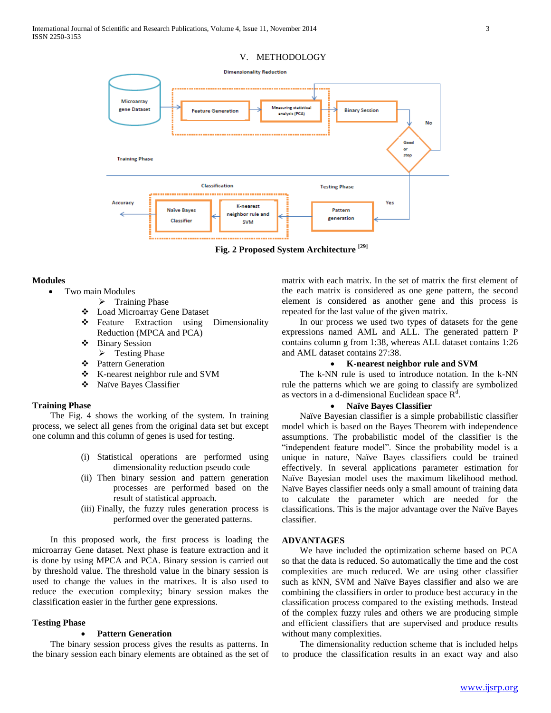## V. METHODOLOGY



**Fig. 2 Proposed System Architecture [29]**

#### **Modules**

- Two main Modules
	- $\triangleright$  Training Phase
	- Load Microarray Gene Dataset
	- ❖ Feature Extraction using Dimensionality Reduction (MPCA and PCA)
	- Binary Session
	- $\triangleright$  Testing Phase
	- Pattern Generation
	- K-nearest neighbor rule and SVM
	- Naïve Bayes Classifier

## **Training Phase**

 The Fig. 4 shows the working of the system. In training process, we select all genes from the original data set but except one column and this column of genes is used for testing.

- (i) Statistical operations are performed using dimensionality reduction pseudo code
- (ii) Then binary session and pattern generation processes are performed based on the result of statistical approach.
- (iii) Finally, the fuzzy rules generation process is performed over the generated patterns.

 In this proposed work, the first process is loading the microarray Gene dataset. Next phase is feature extraction and it is done by using MPCA and PCA. Binary session is carried out by threshold value. The threshold value in the binary session is used to change the values in the matrixes. It is also used to reduce the execution complexity; binary session makes the classification easier in the further gene expressions.

## **Testing Phase**

## **Pattern Generation**

 The binary session process gives the results as patterns. In the binary session each binary elements are obtained as the set of matrix with each matrix. In the set of matrix the first element of the each matrix is considered as one gene pattern, the second element is considered as another gene and this process is repeated for the last value of the given matrix.

 In our process we used two types of datasets for the gene expressions named AML and ALL. The generated pattern P contains column g from 1:38, whereas ALL dataset contains 1:26 and AML dataset contains 27:38.

## **K-nearest neighbor rule and SVM**

 The k-NN rule is used to introduce notation. In the k-NN rule the patterns which we are going to classify are symbolized as vectors in a d-dimensional Euclidean space  $R<sup>d</sup>$ .

## **Naïve Bayes Classifier**

 Naïve Bayesian classifier is a simple probabilistic classifier model which is based on the Bayes Theorem with independence assumptions. The probabilistic model of the classifier is the "independent feature model". Since the probability model is a unique in nature, Naïve Bayes classifiers could be trained effectively. In several applications parameter estimation for Naïve Bayesian model uses the maximum likelihood method. Naïve Bayes classifier needs only a small amount of training data to calculate the parameter which are needed for the classifications. This is the major advantage over the Naïve Bayes classifier.

## **ADVANTAGES**

 We have included the optimization scheme based on PCA so that the data is reduced. So automatically the time and the cost complexities are much reduced. We are using other classifier such as kNN, SVM and Naïve Bayes classifier and also we are combining the classifiers in order to produce best accuracy in the classification process compared to the existing methods. Instead of the complex fuzzy rules and others we are producing simple and efficient classifiers that are supervised and produce results without many complexities.

 The dimensionality reduction scheme that is included helps to produce the classification results in an exact way and also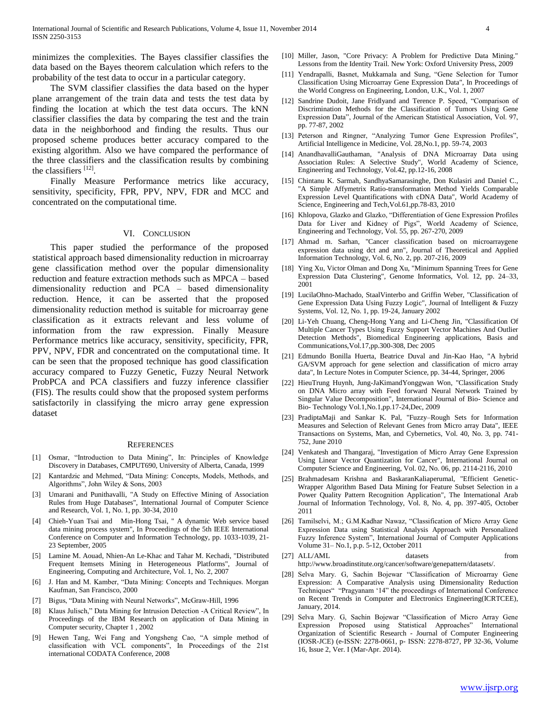minimizes the complexities. The Bayes classifier classifies the data based on the Bayes theorem calculation which refers to the probability of the test data to occur in a particular category.

 The SVM classifier classifies the data based on the hyper plane arrangement of the train data and tests the test data by finding the location at which the test data occurs. The kNN classifier classifies the data by comparing the test and the train data in the neighborhood and finding the results. Thus our proposed scheme produces better accuracy compared to the existing algorithm. Also we have compared the performance of the three classifiers and the classification results by combining the classifiers [12].

 Finally Measure Performance metrics like accuracy, sensitivity, specificity, FPR, PPV, NPV, FDR and MCC and concentrated on the computational time.

## VI. CONCLUSION

 This paper studied the performance of the proposed statistical approach based dimensionality reduction in microarray gene classification method over the popular dimensionality reduction and feature extraction methods such as MPCA – based dimensionality reduction and PCA – based dimensionality reduction. Hence, it can be asserted that the proposed dimensionality reduction method is suitable for microarray gene classification as it extracts relevant and less volume of information from the raw expression. Finally Measure Performance metrics like accuracy, sensitivity, specificity, FPR, PPV, NPV, FDR and concentrated on the computational time. It can be seen that the proposed technique has good classification accuracy compared to Fuzzy Genetic, Fuzzy Neural Network ProbPCA and PCA classifiers and fuzzy inference classifier (FIS). The results could show that the proposed system performs satisfactorily in classifying the micro array gene expression dataset

#### **REFERENCES**

- [1] Osmar, "Introduction to Data Mining", In: Principles of Knowledge Discovery in Databases, CMPUT690, University of Alberta, Canada, 1999
- [2] Kantardzic and Mehmed, "Data Mining: Concepts, Models, Methods, and Algorithms", John Wiley & Sons, 2003
- [3] Umarani and Punithavalli, "A Study on Effective Mining of Association Rules from Huge Databases", International Journal of Computer Science and Research, Vol. 1, No. 1, pp. 30-34, 2010
- [4] Chieh-Yuan Tsai and Min-Hong Tsai, " A dynamic Web service based data mining process system", In Proceedings of the 5th IEEE International Conference on Computer and Information Technology, pp. 1033-1039, 21- 23 September, 2005
- [5] Lamine M. Aouad, Nhien-An Le-Khac and Tahar M. Kechadi, "Distributed Frequent Itemsets Mining in Heterogeneous Platforms", Journal of Engineering, Computing and Architecture, Vol. 1, No. 2, 2007
- [6] J. Han and M. Kamber, "Data Mining: Concepts and Techniques. Morgan Kaufman, San Francisco, 2000
- [7] Bigus, "Data Mining with Neural Networks", McGraw-Hill, 1996
- [8] Klaus Julisch," Data Mining for Intrusion Detection -A Critical Review", In Proceedings of the IBM Research on application of Data Mining in Computer security, Chapter 1 , 2002
- [9] Hewen Tang, Wei Fang and Yongsheng Cao, "A simple method of classification with VCL components", In Proceedings of the 21st international CODATA Conference, 2008
- [10] Miller, Jason, "Core Privacy: A Problem for Predictive Data Mining." Lessons from the Identity Trail. New York: Oxford University Press, 2009
- [11] Yendrapalli, Basnet, Mukkamala and Sung, "Gene Selection for Tumor Classification Using Microarray Gene Expression Data", In Proceedings of the World Congress on Engineering, London, U.K., Vol. 1, 2007
- [12] Sandrine Dudoit, Jane Fridlyand and Terence P. Speed, "Comparison of Discrimination Methods for the Classification of Tumors Using Gene Expression Data", Journal of the American Statistical Association, Vol. 97, pp. 77-87, 2002
- [13] Peterson and Ringner, "Analyzing Tumor Gene Expression Profiles", Artificial Intelligence in Medicine, Vol. 28,No.1, pp. 59-74, 2003
- [14] AnandhavalliGauthaman, "Analysis of DNA Microarray Data using Association Rules: A Selective Study", World Academy of Science, Engineering and Technology, Vol.42, pp.12-16, 2008
- [15] Chintanu K. Sarmah, SandhyaSamarasinghe, Don Kulasiri and Daniel C., "A Simple Affymetrix Ratio-transformation Method Yields Comparable Expression Level Quantifications with cDNA Data", World Academy of Science, Engineering and Tech,Vol.61,pp.78-83, 2010
- [16] Khlopova, Glazko and Glazko, "Differentiation of Gene Expression Profiles Data for Liver and Kidney of Pigs", World Academy of Science, Engineering and Technology, Vol. 55, pp. 267-270, 2009
- [17] Ahmad m. Sarhan, "Cancer classification based on microarraygene expression data using dct and ann", Journal of Theoretical and Applied Information Technology, Vol. 6, No. 2, pp. 207-216, 2009
- Ying Xu, Victor Olman and Dong Xu, "Minimum Spanning Trees for Gene Expression Data Clustering", Genome Informatics, Vol. 12, pp. 24–33, 2001
- [19] LucilaOhno-Machado, StaalVinterbo and Griffin Weber, "Classification of Gene Expression Data Using Fuzzy Logic", Journal of Intelligent & Fuzzy Systems, Vol. 12, No. 1, pp. 19-24, January 2002
- [20] Li-Yeh Chuang, Cheng-Hong Yang and Li-Cheng Jin, "Classification Of Multiple Cancer Types Using Fuzzy Support Vector Machines And Outlier Detection Methods", Biomedical Engineering applications, Basis and Communications,Vol.17,pp.300-308, Dec 2005
- [21] Edmundo Bonilla Huerta, Beatrice Duval and Jin-Kao Hao, "A hybrid GA/SVM approach for gene selection and classification of micro array data", In Lecture Notes in Computer Science, pp. 34-44, Springer, 2006
- [22] HieuTrung Huynh, Jung-JaKimandYonggwan Won, "Classification Study on DNA Micro array with Feed forward Neural Network Trained by Singular Value Decomposition", International Journal of Bio- Science and Bio- Technology Vol.1,No.1,pp.17-24,Dec, 2009
- [23] PradiptaMaji and Sankar K. Pal, "Fuzzy–Rough Sets for Information Measures and Selection of Relevant Genes from Micro array Data", IEEE Transactions on Systems, Man, and Cybernetics, Vol. 40, No. 3, pp. 741- 752, June 2010
- [24] Venkatesh and Thangaraj, "Investigation of Micro Array Gene Expression Using Linear Vector Quantization for Cancer", International Journal on Computer Science and Engineering, Vol. 02, No. 06, pp. 2114-2116, 2010
- [25] Brahmadesam Krishna and BaskaranKaliaperumal, "Efficient Genetic-Wrapper Algorithm Based Data Mining for Feature Subset Selection in a Power Quality Pattern Recognition Application", The International Arab Journal of Information Technology, Vol. 8, No. 4, pp. 397-405, October 2011
- [26] Tamilselvi, M.; G.M.Kadhar Nawaz, "Classification of Micro Array Gene Expression Data using Statistical Analysis Approach with Personalized Fuzzy Inference System", International Journal of Computer Applications Volume 31– No.1, p.p. 5-12, October 2011
- [27] ALL/AML datasets from http://www.broadinstitute.org/cancer/software/genepattern/datasets/.
- [28] Selva Mary. G, Sachin Bojewar "Classification of Microarray Gene Expression: A Comparative Analysis using Dimensionality Reduction Techniques" "Pragyanam "14" the proceedings of International Conference on Recent Trends in Computer and Electronics Engineering(ICRTCEE), January, 2014.
- [29] Selva Mary. G, Sachin Bojewar "Classification of Micro Array Gene Expression Proposed using Statistical Approaches" International Organization of Scientific Research - Journal of Computer Engineering (IOSR-JCE) (e-ISSN: 2278-0661, p- ISSN: 2278-8727, PP 32-36, Volume 16, Issue 2, Ver. I (Mar-Apr. 2014).